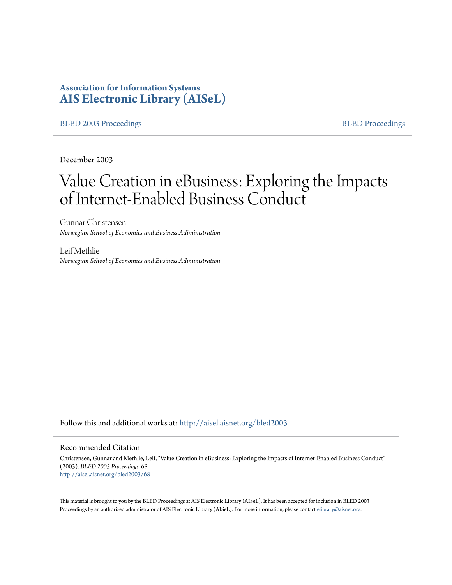# **Association for Information Systems [AIS Electronic Library \(AISeL\)](http://aisel.aisnet.org?utm_source=aisel.aisnet.org%2Fbled2003%2F68&utm_medium=PDF&utm_campaign=PDFCoverPages)**

#### [BLED 2003 Proceedings](http://aisel.aisnet.org/bled2003?utm_source=aisel.aisnet.org%2Fbled2003%2F68&utm_medium=PDF&utm_campaign=PDFCoverPages) and the state of the state of the [BLED Proceedings](http://aisel.aisnet.org/bled?utm_source=aisel.aisnet.org%2Fbled2003%2F68&utm_medium=PDF&utm_campaign=PDFCoverPages) and the BLED Proceedings and the BLED Proceedings and the BLED Proceedings and the BLED Proceedings and the BLED Proceedings and the BLED Proceedings

December 2003

# Value Creation in eBusiness: Exploring the Impacts of Internet-Enabled Business Conduct

Gunnar Christensen *Norwegian School of Economics and Business Adiministration*

Leif Methlie *Norwegian School of Economics and Business Adiministration*

Follow this and additional works at: [http://aisel.aisnet.org/bled2003](http://aisel.aisnet.org/bled2003?utm_source=aisel.aisnet.org%2Fbled2003%2F68&utm_medium=PDF&utm_campaign=PDFCoverPages)

#### Recommended Citation

Christensen, Gunnar and Methlie, Leif, "Value Creation in eBusiness: Exploring the Impacts of Internet-Enabled Business Conduct" (2003). *BLED 2003 Proceedings*. 68. [http://aisel.aisnet.org/bled2003/68](http://aisel.aisnet.org/bled2003/68?utm_source=aisel.aisnet.org%2Fbled2003%2F68&utm_medium=PDF&utm_campaign=PDFCoverPages)

This material is brought to you by the BLED Proceedings at AIS Electronic Library (AISeL). It has been accepted for inclusion in BLED 2003 Proceedings by an authorized administrator of AIS Electronic Library (AISeL). For more information, please contact [elibrary@aisnet.org](mailto:elibrary@aisnet.org%3E).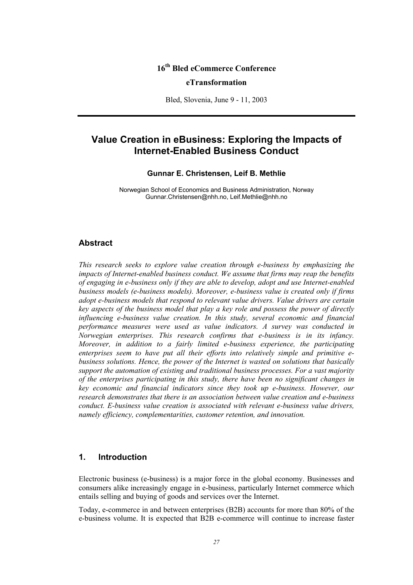# **16th Bled eCommerce Conference eTransformation**

Bled, Slovenia, June 9 - 11, 2003

# **Value Creation in eBusiness: Exploring the Impacts of Internet-Enabled Business Conduct**

#### **Gunnar E. Christensen, Leif B. Methlie**

Norwegian School of Economics and Business Administration, Norway Gunnar.Christensen@nhh.no, Leif.Methlie@nhh.no

### **Abstract**

*This research seeks to explore value creation through e-business by emphasizing the impacts of Internet-enabled business conduct. We assume that firms may reap the benefits of engaging in e-business only if they are able to develop, adopt and use Internet-enabled business models (e-business models). Moreover, e-business value is created only if firms adopt e-business models that respond to relevant value drivers. Value drivers are certain key aspects of the business model that play a key role and possess the power of directly influencing e-business value creation. In this study, several economic and financial performance measures were used as value indicators. A survey was conducted in Norwegian enterprises. This research confirms that e-business is in its infancy. Moreover, in addition to a fairly limited e-business experience, the participating enterprises seem to have put all their efforts into relatively simple and primitive ebusiness solutions. Hence, the power of the Internet is wasted on solutions that basically support the automation of existing and traditional business processes. For a vast majority of the enterprises participating in this study, there have been no significant changes in key economic and financial indicators since they took up e-business. However, our research demonstrates that there is an association between value creation and e-business conduct. E-business value creation is associated with relevant e-business value drivers, namely efficiency, complementarities, customer retention, and innovation.* 

### **1. Introduction**

Electronic business (e-business) is a major force in the global economy. Businesses and consumers alike increasingly engage in e-business, particularly Internet commerce which entails selling and buying of goods and services over the Internet.

Today, e-commerce in and between enterprises (B2B) accounts for more than 80% of the e-business volume. It is expected that B2B e-commerce will continue to increase faster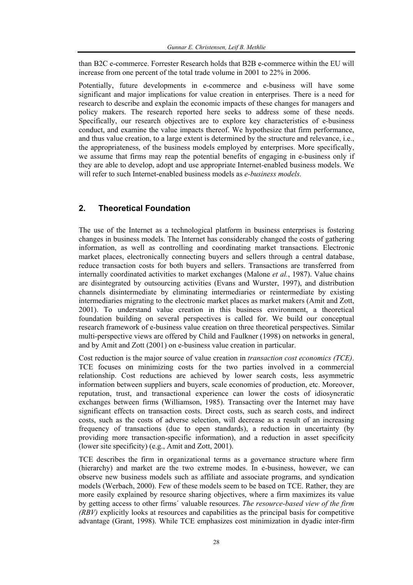than B2C e-commerce. Forrester Research holds that B2B e-commerce within the EU will increase from one percent of the total trade volume in 2001 to 22% in 2006.

Potentially, future developments in e-commerce and e-business will have some significant and major implications for value creation in enterprises. There is a need for research to describe and explain the economic impacts of these changes for managers and policy makers. The research reported here seeks to address some of these needs. Specifically, our research objectives are to explore key characteristics of e-business conduct, and examine the value impacts thereof. We hypothesize that firm performance, and thus value creation, to a large extent is determined by the structure and relevance, i.e., the appropriateness, of the business models employed by enterprises. More specifically, we assume that firms may reap the potential benefits of engaging in e-business only if they are able to develop, adopt and use appropriate Internet-enabled business models. We will refer to such Internet-enabled business models as *e-business models.* 

## **2. Theoretical Foundation**

The use of the Internet as a technological platform in business enterprises is fostering changes in business models. The Internet has considerably changed the costs of gathering information, as well as controlling and coordinating market transactions. Electronic market places, electronically connecting buyers and sellers through a central database, reduce transaction costs for both buyers and sellers. Transactions are transferred from internally coordinated activities to market exchanges (Malone *et al.*, 1987). Value chains are disintegrated by outsourcing activities (Evans and Wurster, 1997), and distribution channels disintermediate by eliminating intermediaries or reintermediate by existing intermediaries migrating to the electronic market places as market makers (Amit and Zott, 2001). To understand value creation in this business environment, a theoretical foundation building on several perspectives is called for. We build our conceptual research framework of e-business value creation on three theoretical perspectives. Similar multi-perspective views are offered by Child and Faulkner (1998) on networks in general, and by Amit and Zott (2001) on e-business value creation in particular.

Cost reduction is the major source of value creation in *transaction cost economics (TCE)*. TCE focuses on minimizing costs for the two parties involved in a commercial relationship. Cost reductions are achieved by lower search costs, less asymmetric information between suppliers and buyers, scale economies of production, etc. Moreover, reputation, trust, and transactional experience can lower the costs of idiosyncratic exchanges between firms (Williamson, 1985). Transacting over the Internet may have significant effects on transaction costs. Direct costs, such as search costs, and indirect costs, such as the costs of adverse selection, will decrease as a result of an increasing frequency of transactions (due to open standards), a reduction in uncertainty (by providing more transaction-specific information), and a reduction in asset specificity (lower site specificity) (e.g., Amit and Zott, 2001).

TCE describes the firm in organizational terms as a governance structure where firm (hierarchy) and market are the two extreme modes. In e-business, however, we can observe new business models such as affiliate and associate programs, and syndication models (Werbach, 2000). Few of these models seem to be based on TCE. Rather, they are more easily explained by resource sharing objectives, where a firm maximizes its value by getting access to other firms´ valuable resources. *The resource-based view of the firm (RBV)* explicitly looks at resources and capabilities as the principal basis for competitive advantage (Grant, 1998). While TCE emphasizes cost minimization in dyadic inter-firm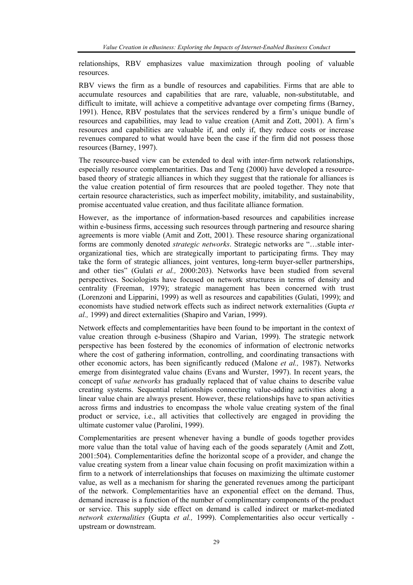relationships, RBV emphasizes value maximization through pooling of valuable resources.

RBV views the firm as a bundle of resources and capabilities. Firms that are able to accumulate resources and capabilities that are rare, valuable, non-substitutable, and difficult to imitate, will achieve a competitive advantage over competing firms (Barney, 1991). Hence, RBV postulates that the services rendered by a firm's unique bundle of resources and capabilities, may lead to value creation (Amit and Zott, 2001). A firm's resources and capabilities are valuable if, and only if, they reduce costs or increase revenues compared to what would have been the case if the firm did not possess those resources (Barney, 1997).

The resource-based view can be extended to deal with inter-firm network relationships, especially resource complementarities. Das and Teng (2000) have developed a resourcebased theory of strategic alliances in which they suggest that the rationale for alliances is the value creation potential of firm resources that are pooled together. They note that certain resource characteristics, such as imperfect mobility, imitability, and sustainability, promise accentuated value creation, and thus facilitate alliance formation.

However, as the importance of information-based resources and capabilities increase within e-business firms, accessing such resources through partnering and resource sharing agreements is more viable (Amit and Zott, 2001). These resource sharing organizational forms are commonly denoted *strategic networks*. Strategic networks are "…stable interorganizational ties, which are strategically important to participating firms. They may take the form of strategic alliances, joint ventures, long-term buyer-seller partnerships, and other ties" (Gulati *et al.,* 2000:203). Networks have been studied from several perspectives. Sociologists have focused on network structures in terms of density and centrality (Freeman, 1979); strategic management has been concerned with trust (Lorenzoni and Lipparini, 1999) as well as resources and capabilities (Gulati, 1999); and economists have studied network effects such as indirect network externalities (Gupta *et al.,* 1999) and direct externalities (Shapiro and Varian, 1999).

Network effects and complementarities have been found to be important in the context of value creation through e-business (Shapiro and Varian, 1999). The strategic network perspective has been fostered by the economics of information of electronic networks where the cost of gathering information, controlling, and coordinating transactions with other economic actors, has been significantly reduced (Malone *et al.,* 1987). Networks emerge from disintegrated value chains (Evans and Wurster, 1997). In recent years, the concept of *value networks* has gradually replaced that of value chains to describe value creating systems. Sequential relationships connecting value-adding activities along a linear value chain are always present. However, these relationships have to span activities across firms and industries to encompass the whole value creating system of the final product or service, i.e., all activities that collectively are engaged in providing the ultimate customer value (Parolini, 1999).

Complementarities are present whenever having a bundle of goods together provides more value than the total value of having each of the goods separately (Amit and Zott, 2001:504). Complementarities define the horizontal scope of a provider, and change the value creating system from a linear value chain focusing on profit maximization within a firm to a network of interrelationships that focuses on maximizing the ultimate customer value, as well as a mechanism for sharing the generated revenues among the participant of the network. Complementarities have an exponential effect on the demand. Thus, demand increase is a function of the number of complimentary components of the product or service. This supply side effect on demand is called indirect or market-mediated *network externalities* (Gupta *et al.,* 1999). Complementarities also occur vertically upstream or downstream.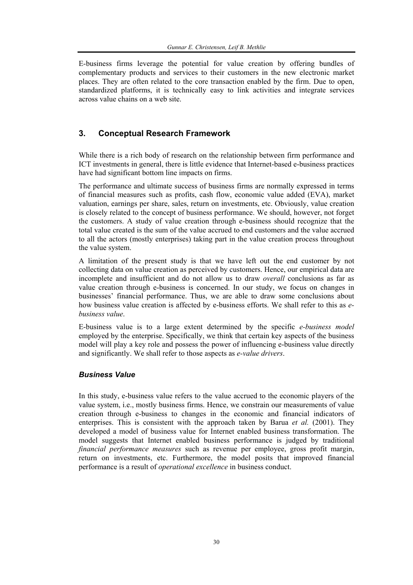E-business firms leverage the potential for value creation by offering bundles of complementary products and services to their customers in the new electronic market places. They are often related to the core transaction enabled by the firm. Due to open, standardized platforms, it is technically easy to link activities and integrate services across value chains on a web site.

# **3. Conceptual Research Framework**

While there is a rich body of research on the relationship between firm performance and ICT investments in general, there is little evidence that Internet-based e-business practices have had significant bottom line impacts on firms.

The performance and ultimate success of business firms are normally expressed in terms of financial measures such as profits, cash flow, economic value added (EVA), market valuation, earnings per share, sales, return on investments, etc. Obviously, value creation is closely related to the concept of business performance. We should, however, not forget the customers. A study of value creation through e-business should recognize that the total value created is the sum of the value accrued to end customers and the value accrued to all the actors (mostly enterprises) taking part in the value creation process throughout the value system.

A limitation of the present study is that we have left out the end customer by not collecting data on value creation as perceived by customers. Hence, our empirical data are incomplete and insufficient and do not allow us to draw *overall* conclusions as far as value creation through e-business is concerned. In our study, we focus on changes in businesses' financial performance. Thus, we are able to draw some conclusions about how business value creation is affected by e-business efforts. We shall refer to this as *ebusiness value*.

E-business value is to a large extent determined by the specific *e-business model* employed by the enterprise. Specifically, we think that certain key aspects of the business model will play a key role and possess the power of influencing e-business value directly and significantly. We shall refer to those aspects as *e-value drivers*.

### *Business Value*

In this study, e-business value refers to the value accrued to the economic players of the value system, i.e., mostly business firms. Hence, we constrain our measurements of value creation through e-business to changes in the economic and financial indicators of enterprises. This is consistent with the approach taken by Barua *et al.* (2001). They developed a model of business value for Internet enabled business transformation. The model suggests that Internet enabled business performance is judged by traditional *financial performance measures* such as revenue per employee, gross profit margin, return on investments, etc. Furthermore, the model posits that improved financial performance is a result of *operational excellence* in business conduct.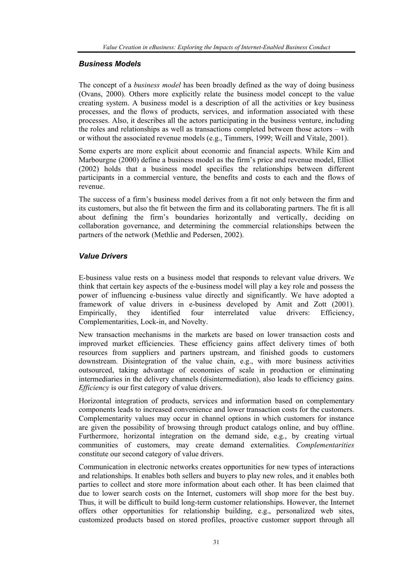#### *Business Models*

The concept of a *business model* has been broadly defined as the way of doing business (Ovans, 2000). Others more explicitly relate the business model concept to the value creating system. A business model is a description of all the activities or key business processes, and the flows of products, services, and information associated with these processes. Also, it describes all the actors participating in the business venture, including the roles and relationships as well as transactions completed between those actors – with or without the associated revenue models (e.g., Timmers, 1999; Weill and Vitale, 2001).

Some experts are more explicit about economic and financial aspects. While Kim and Marbourgne (2000) define a business model as the firm's price and revenue model, Elliot (2002) holds that a business model specifies the relationships between different participants in a commercial venture, the benefits and costs to each and the flows of revenue.

The success of a firm's business model derives from a fit not only between the firm and its customers, but also the fit between the firm and its collaborating partners. The fit is all about defining the firm's boundaries horizontally and vertically, deciding on collaboration governance, and determining the commercial relationships between the partners of the network (Methlie and Pedersen, 2002).

#### *Value Drivers*

E-business value rests on a business model that responds to relevant value drivers. We think that certain key aspects of the e-business model will play a key role and possess the power of influencing e-business value directly and significantly. We have adopted a framework of value drivers in e-business developed by Amit and Zott (2001). Empirically, they identified four interrelated value drivers: Efficiency, Complementarities, Lock-in, and Novelty.

New transaction mechanisms in the markets are based on lower transaction costs and improved market efficiencies. These efficiency gains affect delivery times of both resources from suppliers and partners upstream, and finished goods to customers downstream. Disintegration of the value chain, e.g., with more business activities outsourced, taking advantage of economies of scale in production or eliminating intermediaries in the delivery channels (disintermediation), also leads to efficiency gains. *Efficiency* is our first category of value drivers.

Horizontal integration of products, services and information based on complementary components leads to increased convenience and lower transaction costs for the customers. Complementarity values may occur in channel options in which customers for instance are given the possibility of browsing through product catalogs online, and buy offline. Furthermore, horizontal integration on the demand side, e.g., by creating virtual communities of customers, may create demand externalities. *Complementarities* constitute our second category of value drivers.

Communication in electronic networks creates opportunities for new types of interactions and relationships. It enables both sellers and buyers to play new roles, and it enables both parties to collect and store more information about each other. It has been claimed that due to lower search costs on the Internet, customers will shop more for the best buy. Thus, it will be difficult to build long-term customer relationships. However, the Internet offers other opportunities for relationship building, e.g., personalized web sites, customized products based on stored profiles, proactive customer support through all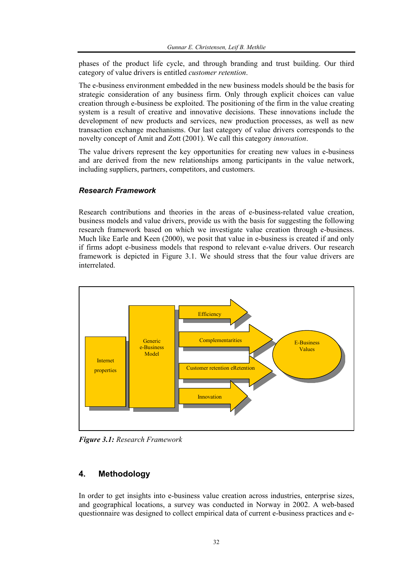phases of the product life cycle, and through branding and trust building. Our third category of value drivers is entitled *customer retention*.

The e-business environment embedded in the new business models should be the basis for strategic consideration of any business firm. Only through explicit choices can value creation through e-business be exploited. The positioning of the firm in the value creating system is a result of creative and innovative decisions. These innovations include the development of new products and services, new production processes, as well as new transaction exchange mechanisms. Our last category of value drivers corresponds to the novelty concept of Amit and Zott (2001). We call this category *innovation*.

The value drivers represent the key opportunities for creating new values in e-business and are derived from the new relationships among participants in the value network, including suppliers, partners, competitors, and customers.

#### *Research Framework*

Research contributions and theories in the areas of e-business-related value creation, business models and value drivers, provide us with the basis for suggesting the following research framework based on which we investigate value creation through e-business. Much like Earle and Keen (2000), we posit that value in e-business is created if and only if firms adopt e-business models that respond to relevant e-value drivers. Our research framework is depicted in Figure 3.1. We should stress that the four value drivers are interrelated.



*Figure 3.1: Research Framework* 

# **4. Methodology**

In order to get insights into e-business value creation across industries, enterprise sizes, and geographical locations, a survey was conducted in Norway in 2002. A web-based questionnaire was designed to collect empirical data of current e-business practices and e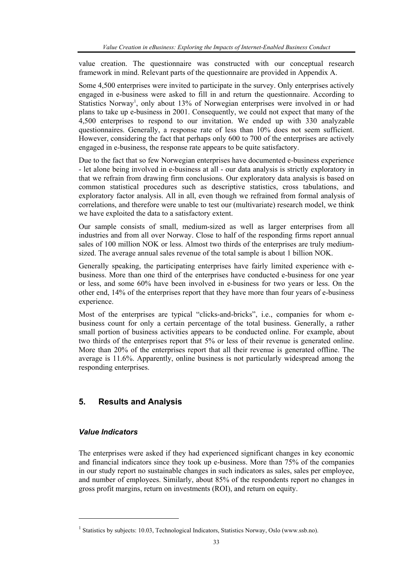value creation. The questionnaire was constructed with our conceptual research framework in mind. Relevant parts of the questionnaire are provided in Appendix A.

Some 4,500 enterprises were invited to participate in the survey. Only enterprises actively engaged in e-business were asked to fill in and return the questionnaire. According to Statistics Norway<sup>1</sup>, only about 13% of Norwegian enterprises were involved in or had plans to take up e-business in 2001. Consequently, we could not expect that many of the 4,500 enterprises to respond to our invitation. We ended up with 330 analyzable questionnaires. Generally, a response rate of less than 10% does not seem sufficient. However, considering the fact that perhaps only 600 to 700 of the enterprises are actively engaged in e-business, the response rate appears to be quite satisfactory.

Due to the fact that so few Norwegian enterprises have documented e-business experience - let alone being involved in e-business at all - our data analysis is strictly exploratory in that we refrain from drawing firm conclusions. Our exploratory data analysis is based on common statistical procedures such as descriptive statistics, cross tabulations, and exploratory factor analysis. All in all, even though we refrained from formal analysis of correlations, and therefore were unable to test our (multivariate) research model, we think we have exploited the data to a satisfactory extent.

Our sample consists of small, medium-sized as well as larger enterprises from all industries and from all over Norway. Close to half of the responding firms report annual sales of 100 million NOK or less. Almost two thirds of the enterprises are truly mediumsized. The average annual sales revenue of the total sample is about 1 billion NOK.

Generally speaking, the participating enterprises have fairly limited experience with ebusiness. More than one third of the enterprises have conducted e-business for one year or less, and some 60% have been involved in e-business for two years or less. On the other end, 14% of the enterprises report that they have more than four years of e-business experience

Most of the enterprises are typical "clicks-and-bricks", i.e., companies for whom ebusiness count for only a certain percentage of the total business. Generally, a rather small portion of business activities appears to be conducted online. For example, about two thirds of the enterprises report that 5% or less of their revenue is generated online. More than 20% of the enterprises report that all their revenue is generated offline. The average is 11.6%. Apparently, online business is not particularly widespread among the responding enterprises.

# **5. Results and Analysis**

### *Value Indicators*

l

The enterprises were asked if they had experienced significant changes in key economic and financial indicators since they took up e-business. More than 75% of the companies in our study report no sustainable changes in such indicators as sales, sales per employee, and number of employees. Similarly, about 85% of the respondents report no changes in gross profit margins, return on investments (ROI), and return on equity.

<sup>&</sup>lt;sup>1</sup> Statistics by subjects: 10.03, Technological Indicators, Statistics Norway, Oslo (www.ssb.no).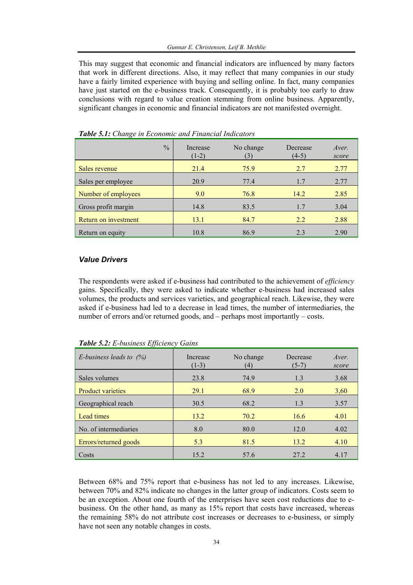This may suggest that economic and financial indicators are influenced by many factors that work in different directions. Also, it may reflect that many companies in our study have a fairly limited experience with buying and selling online. In fact, many companies have just started on the e-business track. Consequently, it is probably too early to draw conclusions with regard to value creation stemming from online business. Apparently, significant changes in economic and financial indicators are not manifested overnight.

| $\frac{0}{0}$        | Increase<br>$(1-2)$ | No change<br>(3) | Decrease<br>$(4-5)$ | Aver.<br>score |
|----------------------|---------------------|------------------|---------------------|----------------|
| Sales revenue        | 21.4                | 75.9             | 2.7                 | 2.77           |
| Sales per employee   | 20.9                | 77.4             | 1.7                 | 2.77           |
| Number of employees  | 9.0                 | 76.8             | 14.2                | 2.85           |
| Gross profit margin  | 14.8                | 83.5             | 1.7                 | 3.04           |
| Return on investment | 13.1                | 84.7             | 2.2                 | 2.88           |
| Return on equity     | 10.8                | 86.9             | 2.3                 | 2.90           |

*Table 5.1: Change in Economic and Financial Indicators* 

#### *Value Drivers*

The respondents were asked if e-business had contributed to the achievement of *efficiency* gains. Specifically, they were asked to indicate whether e-business had increased sales volumes, the products and services varieties, and geographical reach. Likewise, they were asked if e-business had led to a decrease in lead times, the number of intermediaries, the number of errors and/or returned goods, and – perhaps most importantly – costs.

| E-business leads to $(%)$ | Increase<br>$(1-3)$ | No change<br>(4) | Decrease<br>$(5-7)$ | Aver.<br>score |
|---------------------------|---------------------|------------------|---------------------|----------------|
| Sales volumes             | 23.8                | 74.9             | 1.3                 | 3.68           |
| <b>Product varieties</b>  | 29.1                | 68.9             | 2.0                 | 3,60           |
| Geographical reach        | 30.5                | 68.2             | 1.3                 | 3.57           |
| Lead times                | 13.2                | 70.2             | 16.6                | 4.01           |
| No. of intermediaries     | 8.0                 | 80.0             | 12.0                | 4.02           |
| Errors/returned goods     | 5.3                 | 81.5             | 13.2                | 4.10           |
| Costs                     | 15.2                | 57.6             | 27.2                | 4.17           |

*Table 5.2: E-business Efficiency Gains*

Between 68% and 75% report that e-business has not led to any increases. Likewise, between 70% and 82% indicate no changes in the latter group of indicators. Costs seem to be an exception. About one fourth of the enterprises have seen cost reductions due to ebusiness. On the other hand, as many as 15% report that costs have increased, whereas the remaining 58% do not attribute cost increases or decreases to e-business, or simply have not seen any notable changes in costs.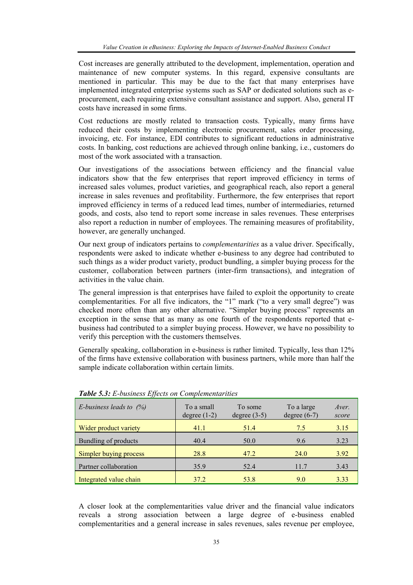Cost increases are generally attributed to the development, implementation, operation and maintenance of new computer systems. In this regard, expensive consultants are mentioned in particular. This may be due to the fact that many enterprises have implemented integrated enterprise systems such as SAP or dedicated solutions such as eprocurement, each requiring extensive consultant assistance and support. Also, general IT costs have increased in some firms.

Cost reductions are mostly related to transaction costs. Typically, many firms have reduced their costs by implementing electronic procurement, sales order processing, invoicing, etc. For instance, EDI contributes to significant reductions in administrative costs. In banking, cost reductions are achieved through online banking, i.e., customers do most of the work associated with a transaction.

Our investigations of the associations between efficiency and the financial value indicators show that the few enterprises that report improved efficiency in terms of increased sales volumes, product varieties, and geographical reach, also report a general increase in sales revenues and profitability. Furthermore, the few enterprises that report improved efficiency in terms of a reduced lead times, number of intermediaries, returned goods, and costs, also tend to report some increase in sales revenues. These enterprises also report a reduction in number of employees. The remaining measures of profitability, however, are generally unchanged.

Our next group of indicators pertains to *complementarities* as a value driver. Specifically, respondents were asked to indicate whether e-business to any degree had contributed to such things as a wider product variety, product bundling, a simpler buying process for the customer, collaboration between partners (inter-firm transactions), and integration of activities in the value chain.

The general impression is that enterprises have failed to exploit the opportunity to create complementarities. For all five indicators, the "1" mark ("to a very small degree") was checked more often than any other alternative. "Simpler buying process" represents an exception in the sense that as many as one fourth of the respondents reported that ebusiness had contributed to a simpler buying process. However, we have no possibility to verify this perception with the customers themselves.

Generally speaking, collaboration in e-business is rather limited. Typically, less than 12% of the firms have extensive collaboration with business partners, while more than half the sample indicate collaboration within certain limits.

| E-business leads to $(%)$ | To a small<br>degree $(1-2)$ | To some<br>degree $(3-5)$ | To a large<br>degree $(6-7)$ | Aver.<br>score |
|---------------------------|------------------------------|---------------------------|------------------------------|----------------|
| Wider product variety     | 41.1                         | 51.4                      | 7.5                          | 3.15           |
| Bundling of products      | 40.4                         | 50.0                      | 9.6                          | 3.23           |
| Simpler buying process    | 28.8                         | 47.2                      | 24.0                         | 3.92           |
| Partner collaboration     | 35.9                         | 52.4                      | 11.7                         | 3.43           |
| Integrated value chain    | 37.2                         | 53.8                      | 9.0                          | 3.33           |

*Table 5.3: E-business Effects on Complementarities* 

A closer look at the complementarities value driver and the financial value indicators reveals a strong association between a large degree of e-business enabled complementarities and a general increase in sales revenues, sales revenue per employee,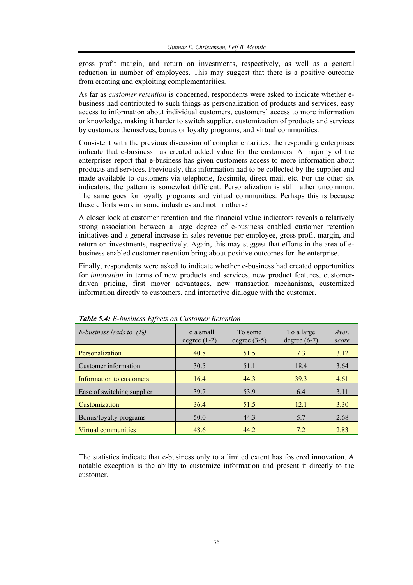gross profit margin, and return on investments, respectively, as well as a general reduction in number of employees. This may suggest that there is a positive outcome from creating and exploiting complementarities.

As far as *customer retention* is concerned, respondents were asked to indicate whether ebusiness had contributed to such things as personalization of products and services, easy access to information about individual customers, customers' access to more information or knowledge, making it harder to switch supplier, customization of products and services by customers themselves, bonus or loyalty programs, and virtual communities.

Consistent with the previous discussion of complementarities, the responding enterprises indicate that e-business has created added value for the customers. A majority of the enterprises report that e-business has given customers access to more information about products and services. Previously, this information had to be collected by the supplier and made available to customers via telephone, facsimile, direct mail, etc. For the other six indicators, the pattern is somewhat different. Personalization is still rather uncommon. The same goes for loyalty programs and virtual communities. Perhaps this is because these efforts work in some industries and not in others?

A closer look at customer retention and the financial value indicators reveals a relatively strong association between a large degree of e-business enabled customer retention initiatives and a general increase in sales revenue per employee, gross profit margin, and return on investments, respectively. Again, this may suggest that efforts in the area of ebusiness enabled customer retention bring about positive outcomes for the enterprise.

Finally, respondents were asked to indicate whether e-business had created opportunities for *innovation* in terms of new products and services, new product features, customerdriven pricing, first mover advantages, new transaction mechanisms, customized information directly to customers, and interactive dialogue with the customer.

| E-business leads to $(%)$  | To a small<br>degree $(1-2)$ | To some<br>degree $(3-5)$ | To a large<br>degree $(6-7)$ | Aver.<br>score |
|----------------------------|------------------------------|---------------------------|------------------------------|----------------|
| Personalization            | 40.8                         | 51.5                      | 7.3                          | 3.12           |
| Customer information       | 30.5                         | 51.1                      | 18.4                         | 3.64           |
| Information to customers   | 16.4                         | 44.3                      | 39.3                         | 4.61           |
| Ease of switching supplier | 39.7                         | 53.9                      | 6.4                          | 3.11           |
| Customization              | 36.4                         | 51.5                      | 12.1                         | 3.30           |
| Bonus/loyalty programs     | 50.0                         | 44.3                      | 5.7                          | 2.68           |
| <b>Virtual communities</b> | 48.6                         | 44.2                      | 7.2                          | 2.83           |

*Table 5.4: E-business Effects on Customer Retention* 

The statistics indicate that e-business only to a limited extent has fostered innovation. A notable exception is the ability to customize information and present it directly to the customer.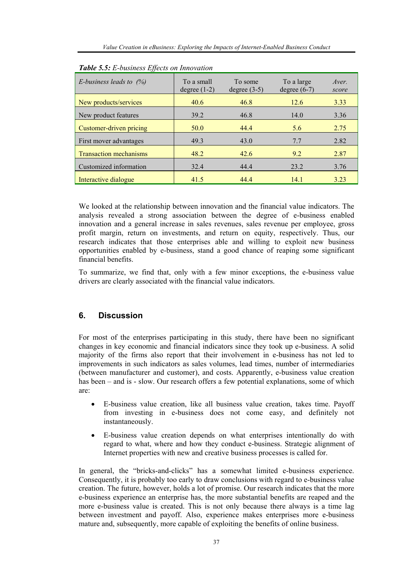| Tweet sist E castiless Effects on Hincreation |                              |                           |                              |                |
|-----------------------------------------------|------------------------------|---------------------------|------------------------------|----------------|
| E-business leads to $(%)$                     | To a small<br>degree $(1-2)$ | To some<br>degree $(3-5)$ | To a large<br>degree $(6-7)$ | Aver.<br>score |
| New products/services                         | 40.6                         | 46.8                      | 12.6                         | 3.33           |
| New product features                          | 39.2                         | 46.8                      | 14.0                         | 3.36           |
| Customer-driven pricing                       | 50.0                         | 44.4                      | 5.6                          | 2.75           |
| First mover advantages                        | 49.3                         | 43.0                      | 7.7                          | 2.82           |
| <b>Transaction mechanisms</b>                 | 48.2                         | 42.6                      | 9.2                          | 2.87           |
| Customized information                        | 32.4                         | 44.4                      | 23.2                         | 3.76           |
| Interactive dialogue                          | 41.5                         | 44.4                      | 14.1                         | 3.23           |

|  |  |  | Table 5.5: E-business Effects on Innovation |
|--|--|--|---------------------------------------------|
|--|--|--|---------------------------------------------|

We looked at the relationship between innovation and the financial value indicators. The analysis revealed a strong association between the degree of e-business enabled innovation and a general increase in sales revenues, sales revenue per employee, gross profit margin, return on investments, and return on equity, respectively. Thus, our research indicates that those enterprises able and willing to exploit new business opportunities enabled by e-business, stand a good chance of reaping some significant financial benefits.

To summarize, we find that, only with a few minor exceptions, the e-business value drivers are clearly associated with the financial value indicators.

## **6. Discussion**

For most of the enterprises participating in this study, there have been no significant changes in key economic and financial indicators since they took up e-business. A solid majority of the firms also report that their involvement in e-business has not led to improvements in such indicators as sales volumes, lead times, number of intermediaries (between manufacturer and customer), and costs. Apparently, e-business value creation has been – and is - slow. Our research offers a few potential explanations, some of which are:

- E-business value creation, like all business value creation, takes time. Payoff from investing in e-business does not come easy, and definitely not instantaneously.
- E-business value creation depends on what enterprises intentionally do with regard to what, where and how they conduct e-business. Strategic alignment of Internet properties with new and creative business processes is called for.

In general, the "bricks-and-clicks" has a somewhat limited e-business experience. Consequently, it is probably too early to draw conclusions with regard to e-business value creation. The future, however, holds a lot of promise. Our research indicates that the more e-business experience an enterprise has, the more substantial benefits are reaped and the more e-business value is created. This is not only because there always is a time lag between investment and payoff. Also, experience makes enterprises more e-business mature and, subsequently, more capable of exploiting the benefits of online business.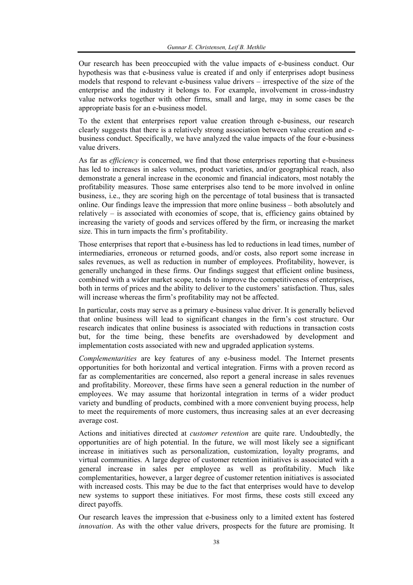Our research has been preoccupied with the value impacts of e-business conduct. Our hypothesis was that e-business value is created if and only if enterprises adopt business models that respond to relevant e-business value drivers – irrespective of the size of the enterprise and the industry it belongs to. For example, involvement in cross-industry value networks together with other firms, small and large, may in some cases be the appropriate basis for an e-business model.

To the extent that enterprises report value creation through e-business, our research clearly suggests that there is a relatively strong association between value creation and ebusiness conduct. Specifically, we have analyzed the value impacts of the four e-business value drivers.

As far as *efficiency* is concerned, we find that those enterprises reporting that e-business has led to increases in sales volumes, product varieties, and/or geographical reach, also demonstrate a general increase in the economic and financial indicators, most notably the profitability measures. Those same enterprises also tend to be more involved in online business, i.e., they are scoring high on the percentage of total business that is transacted online. Our findings leave the impression that more online business – both absolutely and relatively – is associated with economies of scope, that is, efficiency gains obtained by increasing the variety of goods and services offered by the firm, or increasing the market size. This in turn impacts the firm's profitability.

Those enterprises that report that e-business has led to reductions in lead times, number of intermediaries, erroneous or returned goods, and/or costs, also report some increase in sales revenues, as well as reduction in number of employees. Profitability, however, is generally unchanged in these firms. Our findings suggest that efficient online business, combined with a wider market scope, tends to improve the competitiveness of enterprises, both in terms of prices and the ability to deliver to the customers' satisfaction. Thus, sales will increase whereas the firm's profitability may not be affected.

In particular, costs may serve as a primary e-business value driver. It is generally believed that online business will lead to significant changes in the firm's cost structure. Our research indicates that online business is associated with reductions in transaction costs but, for the time being, these benefits are overshadowed by development and implementation costs associated with new and upgraded application systems.

*Complementarities* are key features of any e-business model. The Internet presents opportunities for both horizontal and vertical integration. Firms with a proven record as far as complementarities are concerned, also report a general increase in sales revenues and profitability. Moreover, these firms have seen a general reduction in the number of employees. We may assume that horizontal integration in terms of a wider product variety and bundling of products, combined with a more convenient buying process, help to meet the requirements of more customers, thus increasing sales at an ever decreasing average cost.

Actions and initiatives directed at *customer retention* are quite rare. Undoubtedly, the opportunities are of high potential. In the future, we will most likely see a significant increase in initiatives such as personalization, customization, loyalty programs, and virtual communities. A large degree of customer retention initiatives is associated with a general increase in sales per employee as well as profitability. Much like complementarities, however, a larger degree of customer retention initiatives is associated with increased costs. This may be due to the fact that enterprises would have to develop new systems to support these initiatives. For most firms, these costs still exceed any direct payoffs.

Our research leaves the impression that e-business only to a limited extent has fostered *innovation*. As with the other value drivers, prospects for the future are promising. It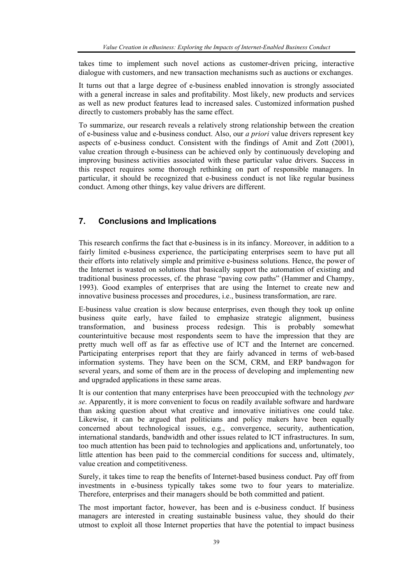takes time to implement such novel actions as customer-driven pricing, interactive dialogue with customers, and new transaction mechanisms such as auctions or exchanges.

It turns out that a large degree of e-business enabled innovation is strongly associated with a general increase in sales and profitability. Most likely, new products and services as well as new product features lead to increased sales. Customized information pushed directly to customers probably has the same effect.

To summarize, our research reveals a relatively strong relationship between the creation of e-business value and e-business conduct. Also, our *a priori* value drivers represent key aspects of e-business conduct. Consistent with the findings of Amit and Zott (2001), value creation through e-business can be achieved only by continuously developing and improving business activities associated with these particular value drivers. Success in this respect requires some thorough rethinking on part of responsible managers. In particular, it should be recognized that e-business conduct is not like regular business conduct. Among other things, key value drivers are different.

# **7. Conclusions and Implications**

This research confirms the fact that e-business is in its infancy. Moreover, in addition to a fairly limited e-business experience, the participating enterprises seem to have put all their efforts into relatively simple and primitive e-business solutions. Hence, the power of the Internet is wasted on solutions that basically support the automation of existing and traditional business processes, cf. the phrase "paving cow paths" (Hammer and Champy, 1993). Good examples of enterprises that are using the Internet to create new and innovative business processes and procedures, i.e., business transformation, are rare.

E-business value creation is slow because enterprises, even though they took up online business quite early, have failed to emphasize strategic alignment, business transformation, and business process redesign. This is probably somewhat counterintuitive because most respondents seem to have the impression that they are pretty much well off as far as effective use of ICT and the Internet are concerned. Participating enterprises report that they are fairly advanced in terms of web-based information systems. They have been on the SCM, CRM, and ERP bandwagon for several years, and some of them are in the process of developing and implementing new and upgraded applications in these same areas.

It is our contention that many enterprises have been preoccupied with the technology *per se*. Apparently, it is more convenient to focus on readily available software and hardware than asking question about what creative and innovative initiatives one could take. Likewise, it can be argued that politicians and policy makers have been equally concerned about technological issues, e.g., convergence, security, authentication, international standards, bandwidth and other issues related to ICT infrastructures. In sum, too much attention has been paid to technologies and applications and, unfortunately, too little attention has been paid to the commercial conditions for success and, ultimately, value creation and competitiveness.

Surely, it takes time to reap the benefits of Internet-based business conduct. Pay off from investments in e-business typically takes some two to four years to materialize. Therefore, enterprises and their managers should be both committed and patient.

The most important factor, however, has been and is e-business conduct. If business managers are interested in creating sustainable business value, they should do their utmost to exploit all those Internet properties that have the potential to impact business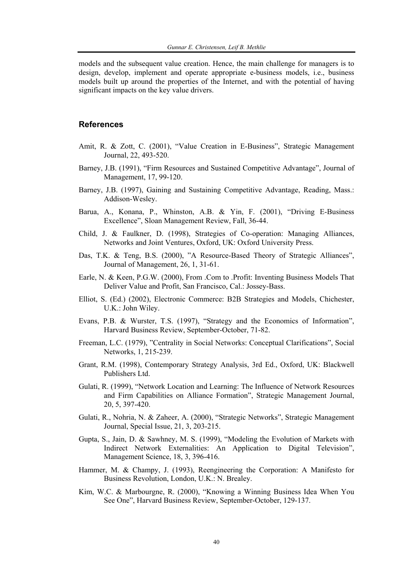models and the subsequent value creation. Hence, the main challenge for managers is to design, develop, implement and operate appropriate e-business models, i.e., business models built up around the properties of the Internet, and with the potential of having significant impacts on the key value drivers.

#### **References**

- Amit, R. & Zott, C. (2001), "Value Creation in E-Business", Strategic Management Journal, 22, 493-520.
- Barney, J.B. (1991), "Firm Resources and Sustained Competitive Advantage", Journal of Management, 17, 99-120.
- Barney, J.B. (1997), Gaining and Sustaining Competitive Advantage, Reading, Mass.: Addison-Wesley.
- Barua, A., Konana, P., Whinston, A.B. & Yin, F. (2001), "Driving E-Business Excellence", Sloan Management Review, Fall, 36-44.
- Child, J. & Faulkner, D. (1998), Strategies of Co-operation: Managing Alliances, Networks and Joint Ventures, Oxford, UK: Oxford University Press.
- Das, T.K. & Teng, B.S. (2000), "A Resource-Based Theory of Strategic Alliances", Journal of Management, 26, 1, 31-61.
- Earle, N. & Keen, P.G.W. (2000), From .Com to .Profit: Inventing Business Models That Deliver Value and Profit, San Francisco, Cal.: Jossey-Bass.
- Elliot, S. (Ed.) (2002), Electronic Commerce: B2B Strategies and Models, Chichester, U.K.: John Wiley.
- Evans, P.B. & Wurster, T.S. (1997), "Strategy and the Economics of Information", Harvard Business Review, September-October, 71-82.
- Freeman, L.C. (1979), "Centrality in Social Networks: Conceptual Clarifications", Social Networks, 1, 215-239.
- Grant, R.M. (1998), Contemporary Strategy Analysis, 3rd Ed., Oxford, UK: Blackwell Publishers Ltd.
- Gulati, R. (1999), "Network Location and Learning: The Influence of Network Resources and Firm Capabilities on Alliance Formation", Strategic Management Journal, 20, 5, 397-420.
- Gulati, R., Nohria, N. & Zaheer, A. (2000), "Strategic Networks", Strategic Management Journal, Special Issue, 21, 3, 203-215.
- Gupta, S., Jain, D. & Sawhney, M. S. (1999), "Modeling the Evolution of Markets with Indirect Network Externalities: An Application to Digital Television", Management Science, 18, 3, 396-416.
- Hammer, M. & Champy, J. (1993), Reengineering the Corporation: A Manifesto for Business Revolution, London, U.K.: N. Brealey.
- Kim, W.C. & Marbourgne, R. (2000), "Knowing a Winning Business Idea When You See One", Harvard Business Review, September-October, 129-137.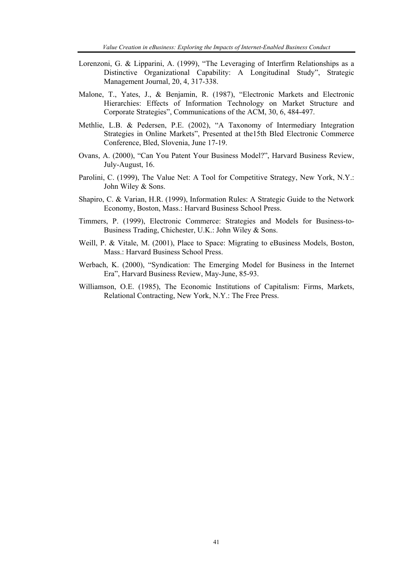- Lorenzoni, G. & Lipparini, A. (1999), "The Leveraging of Interfirm Relationships as a Distinctive Organizational Capability: A Longitudinal Study", Strategic Management Journal, 20, 4, 317-338.
- Malone, T., Yates, J., & Benjamin, R. (1987), "Electronic Markets and Electronic Hierarchies: Effects of Information Technology on Market Structure and Corporate Strategies", Communications of the ACM, 30, 6, 484-497.
- Methlie, L.B. & Pedersen, P.E. (2002), "A Taxonomy of Intermediary Integration Strategies in Online Markets", Presented at the15th Bled Electronic Commerce Conference, Bled, Slovenia, June 17-19.
- Ovans, A. (2000), "Can You Patent Your Business Model?", Harvard Business Review, July-August, 16.
- Parolini, C. (1999), The Value Net: A Tool for Competitive Strategy, New York, N.Y.: John Wiley & Sons.
- Shapiro, C. & Varian, H.R. (1999), Information Rules: A Strategic Guide to the Network Economy, Boston, Mass.: Harvard Business School Press.
- Timmers, P. (1999), Electronic Commerce: Strategies and Models for Business-to-Business Trading, Chichester, U.K.: John Wiley & Sons.
- Weill, P. & Vitale, M. (2001), Place to Space: Migrating to eBusiness Models, Boston, Mass.: Harvard Business School Press.
- Werbach, K. (2000), "Syndication: The Emerging Model for Business in the Internet Era", Harvard Business Review, May-June, 85-93.
- Williamson, O.E. (1985), The Economic Institutions of Capitalism: Firms, Markets, Relational Contracting, New York, N.Y.: The Free Press.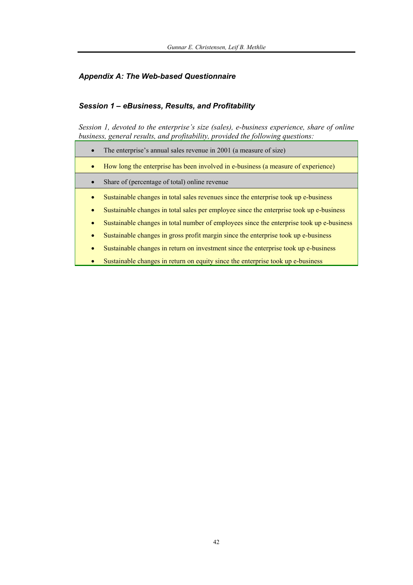# *Appendix A: The Web-based Questionnaire*

### *Session 1 – eBusiness, Results, and Profitability*

*Session 1, devoted to the enterprise's size (sales), e-business experience, share of online business, general results, and profitability, provided the following questions:* 

|           | The enterprise's annual sales revenue in 2001 (a measure of size)                        |
|-----------|------------------------------------------------------------------------------------------|
| $\bullet$ | How long the enterprise has been involved in e-business (a measure of experience)        |
|           | Share of (percentage of total) online revenue                                            |
| ۰         | Sustainable changes in total sales revenues since the enterprise took up e-business      |
| $\bullet$ | Sustainable changes in total sales per employee since the enterprise took up e-business  |
| ۰         | Sustainable changes in total number of employees since the enterprise took up e-business |
| $\bullet$ | Sustainable changes in gross profit margin since the enterprise took up e-business       |
| ۰         | Sustainable changes in return on investment since the enterprise took up e-business      |
|           | Sustainable changes in return on equity since the enterprise took up e-business          |